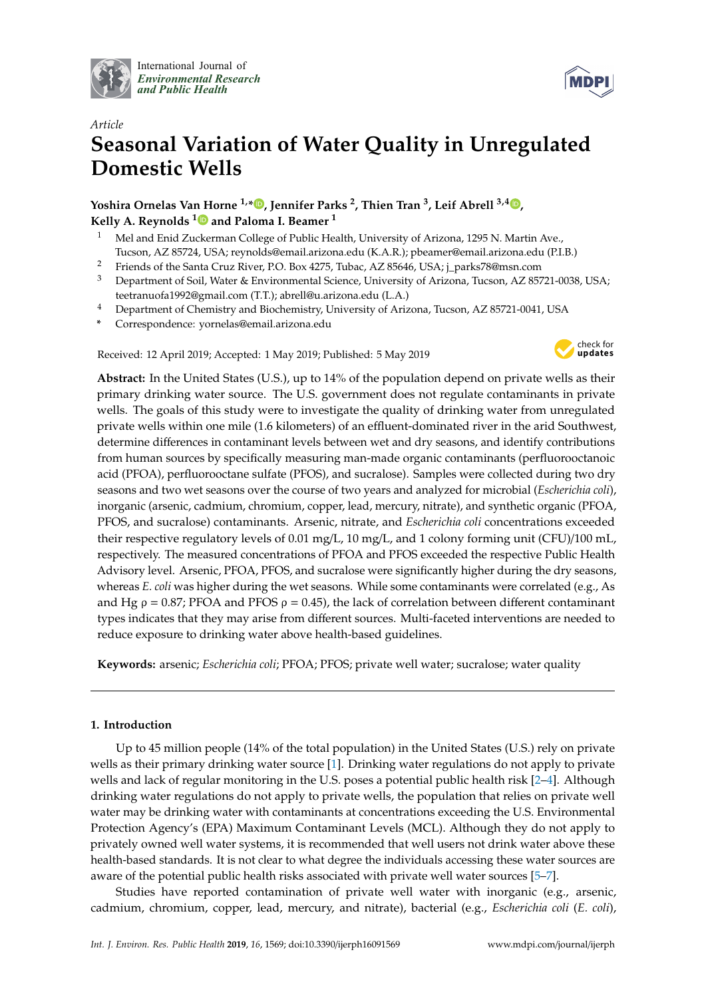

International Journal of *[Environmental Research](http://www.mdpi.com/journal/ijerph) and Public Health*



# *Article* **Seasonal Variation of Water Quality in Unregulated Domestic Wells**

**Yoshira Ornelas Van Horne 1,\* [,](https://orcid.org/0000-0001-7203-5825) Jennifer Parks <sup>2</sup> , Thien Tran <sup>3</sup> , Leif Abrell 3,4 [,](https://orcid.org/0000-0003-2490-1180) Kelly A. Reynolds [1](https://orcid.org/0000-0003-4682-8359) and Paloma I. Beamer <sup>1</sup>**

- <sup>1</sup> Mel and Enid Zuckerman College of Public Health, University of Arizona, 1295 N. Martin Ave., Tucson, AZ 85724, USA; reynolds@email.arizona.edu (K.A.R.); pbeamer@email.arizona.edu (P.I.B.)
- <sup>2</sup> Friends of the Santa Cruz River, P.O. Box 4275, Tubac, AZ 85646, USA; j\_parks78@msn.com
- <sup>3</sup> Department of Soil, Water & Environmental Science, University of Arizona, Tucson, AZ 85721-0038, USA; teetranuofa1992@gmail.com (T.T.); abrell@u.arizona.edu (L.A.)
- <sup>4</sup> Department of Chemistry and Biochemistry, University of Arizona, Tucson, AZ 85721-0041, USA
- **\*** Correspondence: yornelas@email.arizona.edu

Received: 12 April 2019; Accepted: 1 May 2019; Published: 5 May 2019



**Abstract:** In the United States (U.S.), up to 14% of the population depend on private wells as their primary drinking water source. The U.S. government does not regulate contaminants in private wells. The goals of this study were to investigate the quality of drinking water from unregulated private wells within one mile (1.6 kilometers) of an effluent-dominated river in the arid Southwest, determine differences in contaminant levels between wet and dry seasons, and identify contributions from human sources by specifically measuring man-made organic contaminants (perfluorooctanoic acid (PFOA), perfluorooctane sulfate (PFOS), and sucralose). Samples were collected during two dry seasons and two wet seasons over the course of two years and analyzed for microbial (*Escherichia coli*), inorganic (arsenic, cadmium, chromium, copper, lead, mercury, nitrate), and synthetic organic (PFOA, PFOS, and sucralose) contaminants. Arsenic, nitrate, and *Escherichia coli* concentrations exceeded their respective regulatory levels of 0.01 mg/L, 10 mg/L, and 1 colony forming unit (CFU)/100 mL, respectively. The measured concentrations of PFOA and PFOS exceeded the respective Public Health Advisory level. Arsenic, PFOA, PFOS, and sucralose were significantly higher during the dry seasons, whereas *E. coli* was higher during the wet seasons. While some contaminants were correlated (e.g., As and Hg  $\rho = 0.87$ ; PFOA and PFOS  $\rho = 0.45$ ), the lack of correlation between different contaminant types indicates that they may arise from different sources. Multi-faceted interventions are needed to reduce exposure to drinking water above health-based guidelines.

**Keywords:** arsenic; *Escherichia coli*; PFOA; PFOS; private well water; sucralose; water quality

## **1. Introduction**

Up to 45 million people (14% of the total population) in the United States (U.S.) rely on private wells as their primary drinking water source [\[1\]](#page-10-0). Drinking water regulations do not apply to private wells and lack of regular monitoring in the U.S. poses a potential public health risk [\[2](#page-10-1)[–4\]](#page-10-2). Although drinking water regulations do not apply to private wells, the population that relies on private well water may be drinking water with contaminants at concentrations exceeding the U.S. Environmental Protection Agency's (EPA) Maximum Contaminant Levels (MCL). Although they do not apply to privately owned well water systems, it is recommended that well users not drink water above these health-based standards. It is not clear to what degree the individuals accessing these water sources are aware of the potential public health risks associated with private well water sources [\[5–](#page-10-3)[7\]](#page-10-4).

Studies have reported contamination of private well water with inorganic (e.g., arsenic, cadmium, chromium, copper, lead, mercury, and nitrate), bacterial (e.g., *Escherichia coli* (*E. coli*),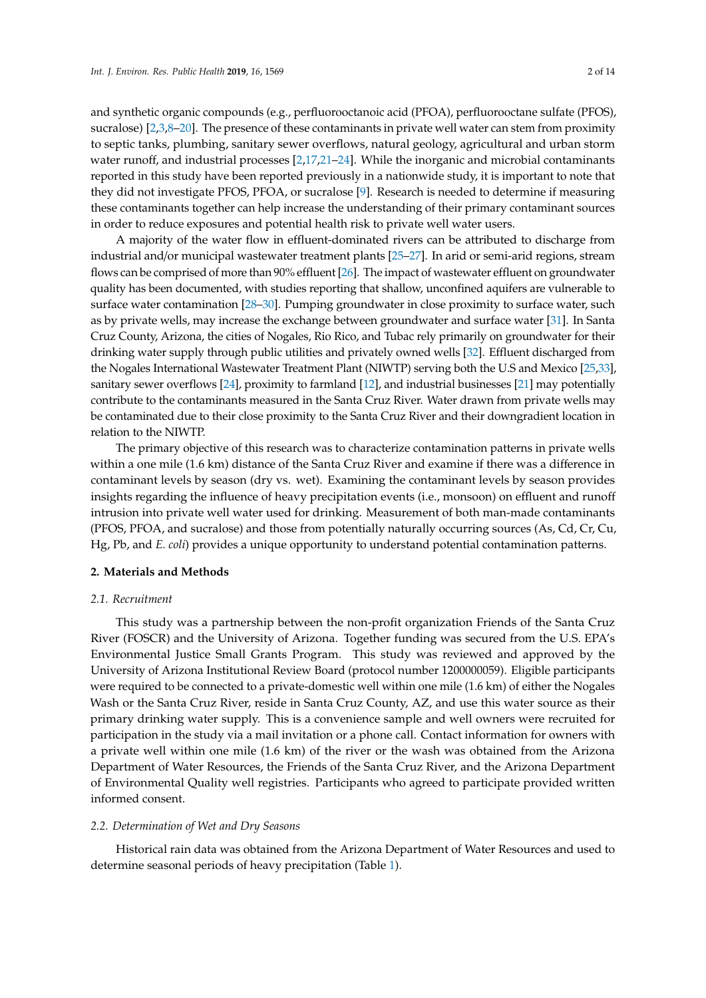and synthetic organic compounds (e.g., perfluorooctanoic acid (PFOA), perfluorooctane sulfate (PFOS), sucralose) [\[2,](#page-10-1)[3,](#page-10-5)[8](#page-10-6)[–20\]](#page-10-7). The presence of these contaminants in private well water can stem from proximity to septic tanks, plumbing, sanitary sewer overflows, natural geology, agricultural and urban storm water runoff, and industrial processes [\[2,](#page-10-1)[17,](#page-10-8)[21](#page-11-0)[–24\]](#page-11-1). While the inorganic and microbial contaminants reported in this study have been reported previously in a nationwide study, it is important to note that they did not investigate PFOS, PFOA, or sucralose [\[9\]](#page-10-9). Research is needed to determine if measuring these contaminants together can help increase the understanding of their primary contaminant sources in order to reduce exposures and potential health risk to private well water users.

A majority of the water flow in effluent-dominated rivers can be attributed to discharge from industrial and/or municipal wastewater treatment plants [\[25](#page-11-2)[–27\]](#page-11-3). In arid or semi-arid regions, stream flows can be comprised of more than 90% effluent [\[26\]](#page-11-4). The impact of wastewater effluent on groundwater quality has been documented, with studies reporting that shallow, unconfined aquifers are vulnerable to surface water contamination [\[28](#page-11-5)[–30\]](#page-11-6). Pumping groundwater in close proximity to surface water, such as by private wells, may increase the exchange between groundwater and surface water [\[31\]](#page-11-7). In Santa Cruz County, Arizona, the cities of Nogales, Rio Rico, and Tubac rely primarily on groundwater for their drinking water supply through public utilities and privately owned wells [\[32\]](#page-11-8). Effluent discharged from the Nogales International Wastewater Treatment Plant (NIWTP) serving both the U.S and Mexico [\[25](#page-11-2)[,33\]](#page-11-9), sanitary sewer overflows [\[24\]](#page-11-1), proximity to farmland [\[12\]](#page-10-10), and industrial businesses [\[21\]](#page-11-0) may potentially contribute to the contaminants measured in the Santa Cruz River. Water drawn from private wells may be contaminated due to their close proximity to the Santa Cruz River and their downgradient location in relation to the NIWTP.

The primary objective of this research was to characterize contamination patterns in private wells within a one mile (1.6 km) distance of the Santa Cruz River and examine if there was a difference in contaminant levels by season (dry vs. wet). Examining the contaminant levels by season provides insights regarding the influence of heavy precipitation events (i.e., monsoon) on effluent and runoff intrusion into private well water used for drinking. Measurement of both man-made contaminants (PFOS, PFOA, and sucralose) and those from potentially naturally occurring sources (As, Cd, Cr, Cu, Hg, Pb, and *E. coli*) provides a unique opportunity to understand potential contamination patterns.

## **2. Materials and Methods**

## *2.1. Recruitment*

This study was a partnership between the non-profit organization Friends of the Santa Cruz River (FOSCR) and the University of Arizona. Together funding was secured from the U.S. EPA's Environmental Justice Small Grants Program. This study was reviewed and approved by the University of Arizona Institutional Review Board (protocol number 1200000059). Eligible participants were required to be connected to a private-domestic well within one mile (1.6 km) of either the Nogales Wash or the Santa Cruz River, reside in Santa Cruz County, AZ, and use this water source as their primary drinking water supply. This is a convenience sample and well owners were recruited for participation in the study via a mail invitation or a phone call. Contact information for owners with a private well within one mile (1.6 km) of the river or the wash was obtained from the Arizona Department of Water Resources, the Friends of the Santa Cruz River, and the Arizona Department of Environmental Quality well registries. Participants who agreed to participate provided written informed consent.

#### *2.2. Determination of Wet and Dry Seasons*

Historical rain data was obtained from the Arizona Department of Water Resources and used to determine seasonal periods of heavy precipitation (Table [1\)](#page-2-0).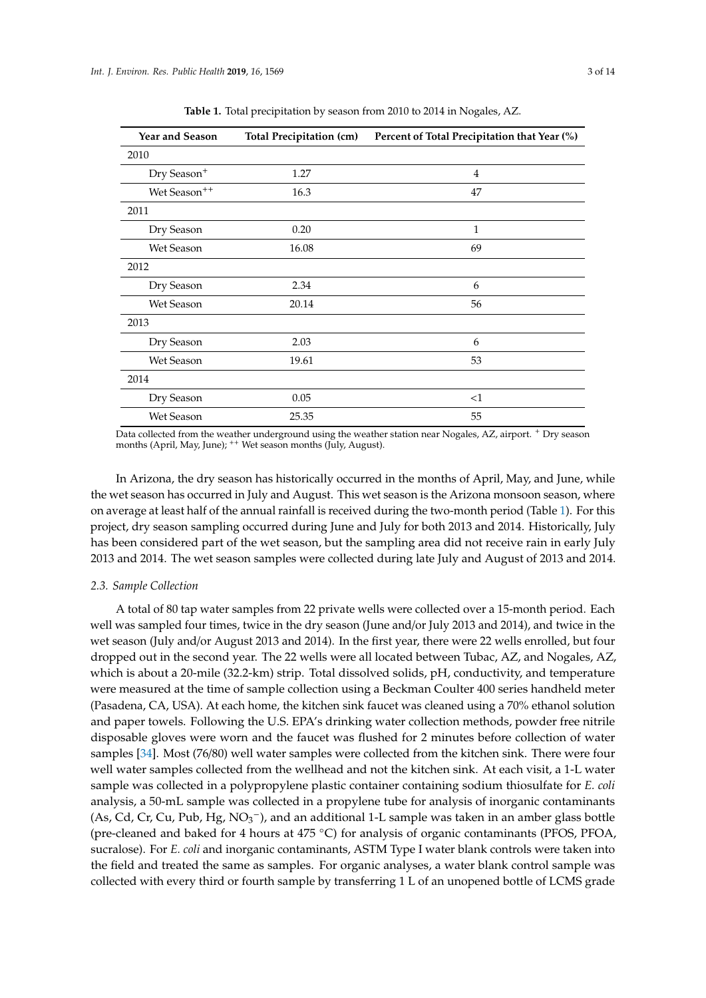<span id="page-2-0"></span>

| <b>Year and Season</b>   | <b>Total Precipitation (cm)</b> | Percent of Total Precipitation that Year (%) |  |  |  |  |
|--------------------------|---------------------------------|----------------------------------------------|--|--|--|--|
| 2010                     |                                 |                                              |  |  |  |  |
| Dry Season <sup>+</sup>  | 1.27                            | 4                                            |  |  |  |  |
| Wet Season <sup>++</sup> | 16.3                            | 47                                           |  |  |  |  |
| 2011                     |                                 |                                              |  |  |  |  |
| Dry Season               | 0.20                            | $\mathbf{1}$                                 |  |  |  |  |
| Wet Season               | 16.08                           | 69                                           |  |  |  |  |
| 2012                     |                                 |                                              |  |  |  |  |
| Dry Season               | 2.34                            | 6                                            |  |  |  |  |
| <b>Wet Season</b>        | 20.14                           | 56                                           |  |  |  |  |
| 2013                     |                                 |                                              |  |  |  |  |
| Dry Season               | 2.03                            | 6                                            |  |  |  |  |
| Wet Season               | 19.61                           | 53                                           |  |  |  |  |
| 2014                     |                                 |                                              |  |  |  |  |
| Dry Season               | 0.05                            | <1                                           |  |  |  |  |
| <b>Wet Season</b>        | 25.35                           | 55                                           |  |  |  |  |

**Table 1.** Total precipitation by season from 2010 to 2014 in Nogales, AZ.

Data collected from the weather underground using the weather station near Nogales, AZ, airport. <sup>+</sup> Dry season months (April, May, June); <sup>++</sup> Wet season months (July, August).

In Arizona, the dry season has historically occurred in the months of April, May, and June, while the wet season has occurred in July and August. This wet season is the Arizona monsoon season, where on average at least half of the annual rainfall is received during the two-month period (Table [1\)](#page-2-0). For this project, dry season sampling occurred during June and July for both 2013 and 2014. Historically, July has been considered part of the wet season, but the sampling area did not receive rain in early July 2013 and 2014. The wet season samples were collected during late July and August of 2013 and 2014.

#### *2.3. Sample Collection*

A total of 80 tap water samples from 22 private wells were collected over a 15-month period. Each well was sampled four times, twice in the dry season (June and/or July 2013 and 2014), and twice in the wet season (July and/or August 2013 and 2014). In the first year, there were 22 wells enrolled, but four dropped out in the second year. The 22 wells were all located between Tubac, AZ, and Nogales, AZ, which is about a 20-mile (32.2-km) strip. Total dissolved solids, pH, conductivity, and temperature were measured at the time of sample collection using a Beckman Coulter 400 series handheld meter (Pasadena, CA, USA). At each home, the kitchen sink faucet was cleaned using a 70% ethanol solution and paper towels. Following the U.S. EPA's drinking water collection methods, powder free nitrile disposable gloves were worn and the faucet was flushed for 2 minutes before collection of water samples [\[34\]](#page-11-10). Most (76/80) well water samples were collected from the kitchen sink. There were four well water samples collected from the wellhead and not the kitchen sink. At each visit, a 1-L water sample was collected in a polypropylene plastic container containing sodium thiosulfate for *E. coli* analysis, a 50-mL sample was collected in a propylene tube for analysis of inorganic contaminants  $(As, Cd, Cr, Cu, Pub, Hg, NO<sub>3</sub><sup>-</sup>)$ , and an additional 1-L sample was taken in an amber glass bottle (pre-cleaned and baked for 4 hours at 475 ◦C) for analysis of organic contaminants (PFOS, PFOA, sucralose). For *E. coli* and inorganic contaminants, ASTM Type I water blank controls were taken into the field and treated the same as samples. For organic analyses, a water blank control sample was collected with every third or fourth sample by transferring 1 L of an unopened bottle of LCMS grade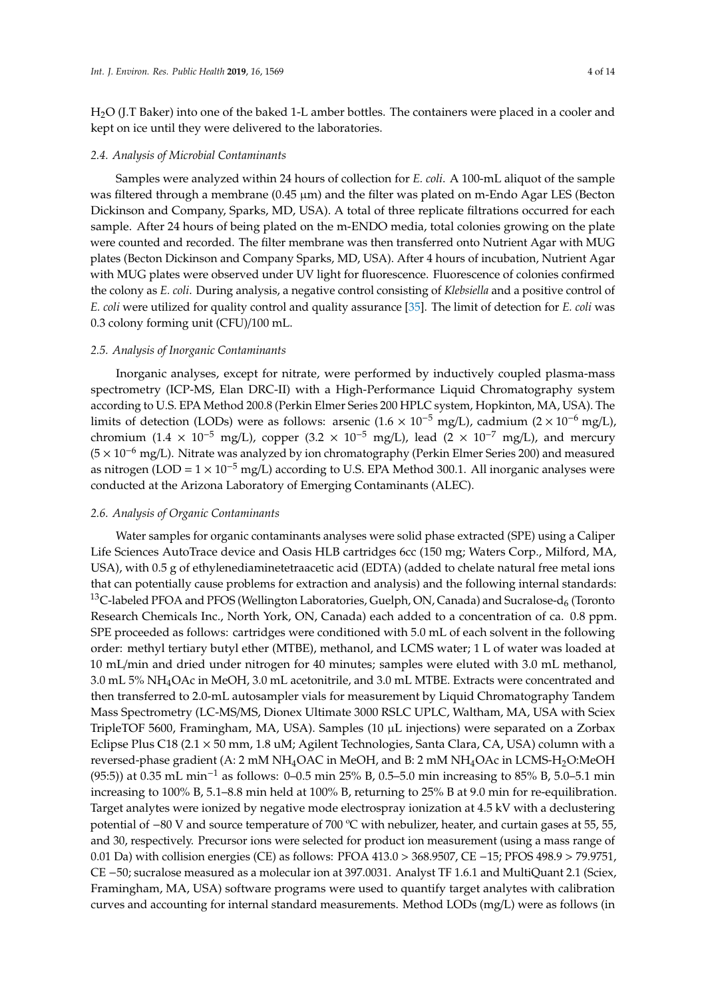H2O (J.T Baker) into one of the baked 1-L amber bottles. The containers were placed in a cooler and kept on ice until they were delivered to the laboratories.

## *2.4. Analysis of Microbial Contaminants*

Samples were analyzed within 24 hours of collection for *E. coli*. A 100-mL aliquot of the sample was filtered through a membrane  $(0.45 \mu m)$  and the filter was plated on m-Endo Agar LES (Becton Dickinson and Company, Sparks, MD, USA). A total of three replicate filtrations occurred for each sample. After 24 hours of being plated on the m-ENDO media, total colonies growing on the plate were counted and recorded. The filter membrane was then transferred onto Nutrient Agar with MUG plates (Becton Dickinson and Company Sparks, MD, USA). After 4 hours of incubation, Nutrient Agar with MUG plates were observed under UV light for fluorescence. Fluorescence of colonies confirmed the colony as *E. coli*. During analysis, a negative control consisting of *Klebsiella* and a positive control of *E. coli* were utilized for quality control and quality assurance [\[35\]](#page-11-11). The limit of detection for *E. coli* was 0.3 colony forming unit (CFU)/100 mL.

## *2.5. Analysis of Inorganic Contaminants*

Inorganic analyses, except for nitrate, were performed by inductively coupled plasma-mass spectrometry (ICP-MS, Elan DRC-II) with a High-Performance Liquid Chromatography system according to U.S. EPA Method 200.8 (Perkin Elmer Series 200 HPLC system, Hopkinton, MA, USA). The limits of detection (LODs) were as follows: arsenic (1.6 × 10<sup>-5</sup> mg/L), cadmium (2 × 10<sup>-6</sup> mg/L), chromium (1.4 × 10<sup>-5</sup> mg/L), copper (3.2 × 10<sup>-5</sup> mg/L), lead (2 × 10<sup>-7</sup> mg/L), and mercury (5 × 10−<sup>6</sup> mg/L). Nitrate was analyzed by ion chromatography (Perkin Elmer Series 200) and measured as nitrogen (LOD =  $1 \times 10^{-5}$  mg/L) according to U.S. EPA Method 300.1. All inorganic analyses were conducted at the Arizona Laboratory of Emerging Contaminants (ALEC).

## *2.6. Analysis of Organic Contaminants*

Water samples for organic contaminants analyses were solid phase extracted (SPE) using a Caliper Life Sciences AutoTrace device and Oasis HLB cartridges 6cc (150 mg; Waters Corp., Milford, MA, USA), with 0.5 g of ethylenediaminetetraacetic acid (EDTA) (added to chelate natural free metal ions that can potentially cause problems for extraction and analysis) and the following internal standards: <sup>13</sup>C-labeled PFOA and PFOS (Wellington Laboratories, Guelph, ON, Canada) and Sucralose- $d_6$  (Toronto Research Chemicals Inc., North York, ON, Canada) each added to a concentration of ca. 0.8 ppm. SPE proceeded as follows: cartridges were conditioned with 5.0 mL of each solvent in the following order: methyl tertiary butyl ether (MTBE), methanol, and LCMS water; 1 L of water was loaded at 10 mL/min and dried under nitrogen for 40 minutes; samples were eluted with 3.0 mL methanol, 3.0 mL 5% NH4OAc in MeOH, 3.0 mL acetonitrile, and 3.0 mL MTBE. Extracts were concentrated and then transferred to 2.0-mL autosampler vials for measurement by Liquid Chromatography Tandem Mass Spectrometry (LC-MS/MS, Dionex Ultimate 3000 RSLC UPLC, Waltham, MA, USA with Sciex TripleTOF 5600, Framingham, MA, USA). Samples (10 µL injections) were separated on a Zorbax Eclipse Plus C18 (2.1 × 50 mm, 1.8 uM; Agilent Technologies, Santa Clara, CA, USA) column with a reversed-phase gradient (A: 2 mM NH4OAC in MeOH, and B: 2 mM NH4OAc in LCMS-H2O:MeOH (95:5)) at 0.35 mL min−<sup>1</sup> as follows: 0–0.5 min 25% B, 0.5–5.0 min increasing to 85% B, 5.0–5.1 min increasing to 100% B, 5.1–8.8 min held at 100% B, returning to 25% B at 9.0 min for re-equilibration. Target analytes were ionized by negative mode electrospray ionization at 4.5 kV with a declustering potential of −80 V and source temperature of 700 ºC with nebulizer, heater, and curtain gases at 55, 55, and 30, respectively. Precursor ions were selected for product ion measurement (using a mass range of 0.01 Da) with collision energies (CE) as follows: PFOA 413.0 > 368.9507, CE −15; PFOS 498.9 > 79.9751, CE −50; sucralose measured as a molecular ion at 397.0031. Analyst TF 1.6.1 and MultiQuant 2.1 (Sciex, Framingham, MA, USA) software programs were used to quantify target analytes with calibration curves and accounting for internal standard measurements. Method LODs (mg/L) were as follows (in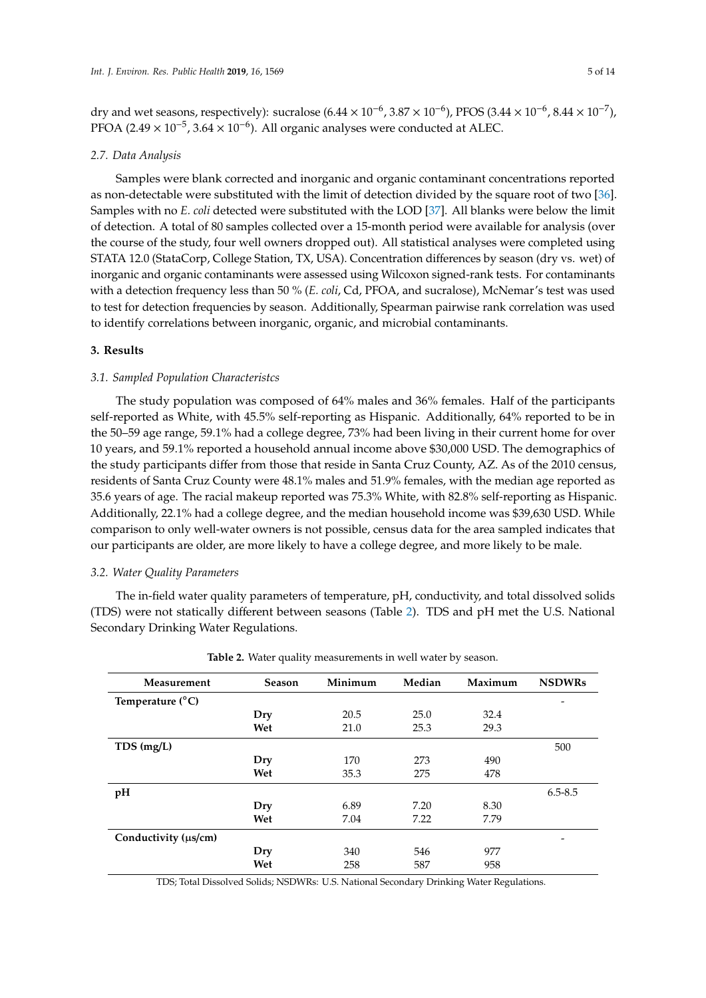dry and wet seasons, respectively): sucralose (6.44 ×  $10^{-6}$ , 3.87 ×  $10^{-6}$ ), PFOS (3.44 ×  $10^{-6}$ , 8.44 ×  $10^{-7}$ ), PFOA (2.49  $\times$  10<sup>-5</sup>, 3.64  $\times$  10<sup>-6</sup>). All organic analyses were conducted at ALEC.

## *2.7. Data Analysis*

Samples were blank corrected and inorganic and organic contaminant concentrations reported as non-detectable were substituted with the limit of detection divided by the square root of two [\[36\]](#page-11-12). Samples with no *E. coli* detected were substituted with the LOD [\[37\]](#page-11-13). All blanks were below the limit of detection. A total of 80 samples collected over a 15-month period were available for analysis (over the course of the study, four well owners dropped out). All statistical analyses were completed using STATA 12.0 (StataCorp, College Station, TX, USA). Concentration differences by season (dry vs. wet) of inorganic and organic contaminants were assessed using Wilcoxon signed-rank tests. For contaminants with a detection frequency less than 50 % (*E. coli*, Cd, PFOA, and sucralose), McNemar's test was used to test for detection frequencies by season. Additionally, Spearman pairwise rank correlation was used to identify correlations between inorganic, organic, and microbial contaminants.

## **3. Results**

## *3.1. Sampled Population Characteristcs*

The study population was composed of 64% males and 36% females. Half of the participants self-reported as White, with 45.5% self-reporting as Hispanic. Additionally, 64% reported to be in the 50–59 age range, 59.1% had a college degree, 73% had been living in their current home for over 10 years, and 59.1% reported a household annual income above \$30,000 USD. The demographics of the study participants differ from those that reside in Santa Cruz County, AZ. As of the 2010 census, residents of Santa Cruz County were 48.1% males and 51.9% females, with the median age reported as 35.6 years of age. The racial makeup reported was 75.3% White, with 82.8% self-reporting as Hispanic. Additionally, 22.1% had a college degree, and the median household income was \$39,630 USD. While comparison to only well-water owners is not possible, census data for the area sampled indicates that our participants are older, are more likely to have a college degree, and more likely to be male.

## *3.2. Water Quality Parameters*

The in-field water quality parameters of temperature, pH, conductivity, and total dissolved solids (TDS) were not statically different between seasons (Table [2\)](#page-4-0). TDS and pH met the U.S. National Secondary Drinking Water Regulations.

<span id="page-4-0"></span>

| Measurement                 | <b>Season</b> | Minimum | Median | Maximum | <b>NSDWRs</b> |
|-----------------------------|---------------|---------|--------|---------|---------------|
| Temperature $(^{\circ}C)$   |               |         |        |         |               |
|                             | Dry           | 20.5    | 25.0   | 32.4    |               |
|                             | Wet           | 21.0    | 25.3   | 29.3    |               |
| TDS (mg/L)                  |               |         |        |         | 500           |
|                             | Dry           | 170     | 273    | 490     |               |
|                             | Wet           | 35.3    | 275    | 478     |               |
| pH                          |               |         |        |         | $6.5 - 8.5$   |
|                             | Dry           | 6.89    | 7.20   | 8.30    |               |
|                             | Wet           | 7.04    | 7.22   | 7.79    |               |
| Conductivity ( $\mu s/cm$ ) |               |         |        |         | -             |
|                             | Dry           | 340     | 546    | 977     |               |
|                             | Wet           | 258     | 587    | 958     |               |

| Table 2. Water quality measurements in well water by season. |  |
|--------------------------------------------------------------|--|
|--------------------------------------------------------------|--|

TDS; Total Dissolved Solids; NSDWRs: U.S. National Secondary Drinking Water Regulations.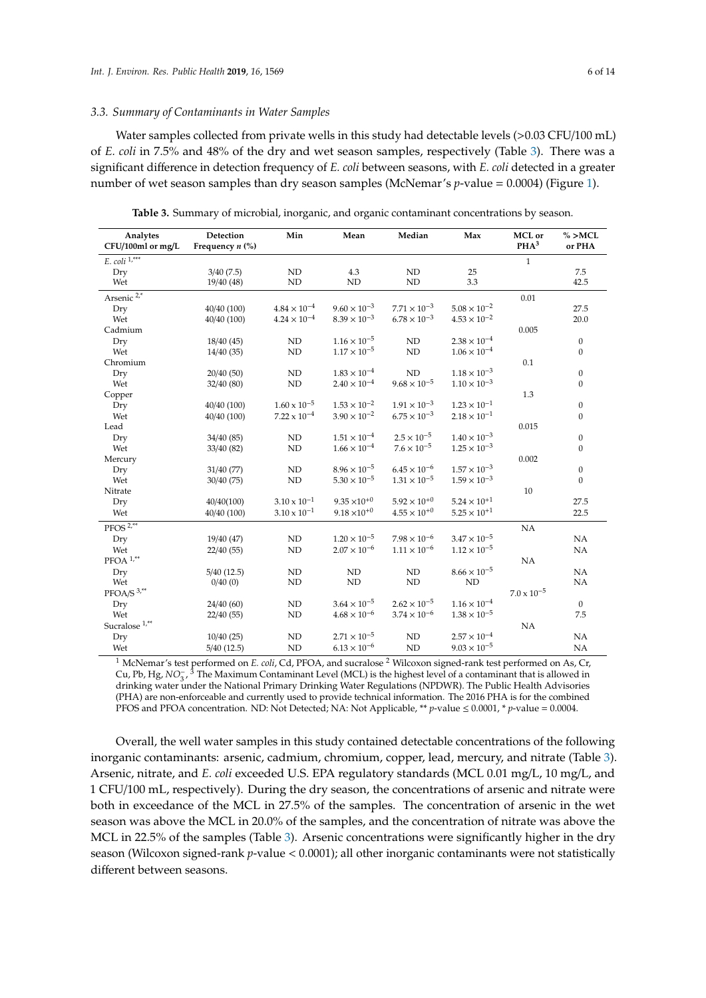### *3.3. Summary of Contaminants in Water Samples*

Water samples collected from private wells in this study had detectable levels (>0.03 CFU/100 mL) of *E. coli* in 7.5% and 48% of the dry and wet season samples, respectively (Table [3\)](#page-5-0). There was a significant difference in detection frequency of *E. coli* between seasons, with *E. coli* detected in a greater number of wet season samples than dry season samples (McNemar's *p*-value = 0.0004) (Figure [1\)](#page-6-0).

<span id="page-5-0"></span>

| Analytes<br>CFU/100ml or mg/L | Detection<br>Frequency $n$ (%) | Min                   | Mean                  | Median                | Max                   | MCL or<br>PHA <sup>3</sup> | $\% > MCL$<br>or PHA |
|-------------------------------|--------------------------------|-----------------------|-----------------------|-----------------------|-----------------------|----------------------------|----------------------|
| E. coli $1,***$               |                                |                       |                       |                       |                       | $1\,$                      |                      |
| Dry                           | 3/40(7.5)                      | ND                    | 4.3                   | ND                    | 25                    |                            | 7.5                  |
| Wet                           | 19/40(48)                      | $\mbox{\sc ND}$       | $\rm ND$              | $\rm ND$              | 3.3                   |                            | 42.5                 |
| Arsenic <sup>2,*</sup>        |                                |                       |                       |                       |                       | 0.01                       |                      |
| Dry                           | 40/40 (100)                    | $4.84\times10^{-4}$   | $9.60 \times 10^{-3}$ | $7.71 \times 10^{-3}$ | $5.08 \times 10^{-2}$ |                            | 27.5                 |
| Wet                           | 40/40 (100)                    | $4.24 \times 10^{-4}$ | $8.39 \times 10^{-3}$ | $6.78 \times 10^{-3}$ | $4.53 \times 10^{-2}$ |                            | 20.0                 |
| Cadmium                       |                                |                       |                       |                       |                       | 0.005                      |                      |
| Dry                           | 18/40(45)                      | ND                    | $1.16 \times 10^{-5}$ | ND                    | $2.38 \times 10^{-4}$ |                            | $\boldsymbol{0}$     |
| Wet                           | 14/40 (35)                     | ND                    | $1.17 \times 10^{-5}$ | ND                    | $1.06 \times 10^{-4}$ |                            | $\mathbf{0}$         |
| Chromium                      |                                |                       |                       |                       |                       | 0.1                        |                      |
| Dry                           | 20/40 (50)                     | ND                    | $1.83 \times 10^{-4}$ | ND                    | $1.18 \times 10^{-3}$ |                            | $\boldsymbol{0}$     |
| Wet                           | 32/40(80)                      | $\mbox{ND}$           | $2.40 \times 10^{-4}$ | $9.68 \times 10^{-5}$ | $1.10 \times 10^{-3}$ |                            | $\boldsymbol{0}$     |
| Copper                        |                                |                       |                       |                       |                       | 1.3                        |                      |
| Dry                           | 40/40 (100)                    | $1.60 \times 10^{-5}$ | $1.53 \times 10^{-2}$ | $1.91 \times 10^{-3}$ | $1.23 \times 10^{-1}$ |                            | $\boldsymbol{0}$     |
| Wet                           | 40/40 (100)                    | $7.22 \times 10^{-4}$ | $3.90 \times 10^{-2}$ | $6.75 \times 10^{-3}$ | $2.18 \times 10^{-1}$ |                            | $\mathbf{0}$         |
| Lead                          |                                |                       |                       |                       |                       | 0.015                      |                      |
| Dry                           | 34/40 (85)                     | ND                    | $1.51 \times 10^{-4}$ | $2.5 \times 10^{-5}$  | $1.40 \times 10^{-3}$ |                            | $\boldsymbol{0}$     |
| Wet                           | 33/40 (82)                     | ND                    | $1.66 \times 10^{-4}$ | $7.6 \times 10^{-5}$  | $1.25 \times 10^{-3}$ |                            | $\boldsymbol{0}$     |
| Mercury                       |                                |                       |                       |                       |                       | 0.002                      |                      |
| Dry                           | 31/40 (77)                     | ND                    | $8.96 \times 10^{-5}$ | $6.45 \times 10^{-6}$ | $1.57 \times 10^{-3}$ |                            | $\boldsymbol{0}$     |
| Wet                           | 30/40(75)                      | ND                    | $5.30 \times 10^{-5}$ | $1.31 \times 10^{-5}$ | $1.59 \times 10^{-3}$ |                            | $\mathbf{0}$         |
| Nitrate                       |                                |                       |                       |                       |                       | 10                         |                      |
| Dry                           | 40/40(100)                     | $3.10 \times 10^{-1}$ | $9.35 \times 10^{+0}$ | $5.92 \times 10^{+0}$ | $5.24 \times 10^{+1}$ |                            | 27.5                 |
| Wet                           | 40/40 (100)                    | $3.10\times10^{-1}$   | $9.18 \times 10^{+0}$ | $4.55 \times 10^{+0}$ | $5.25 \times 10^{+1}$ |                            | 22.5                 |
| PFOS $2,*$                    |                                |                       |                       |                       |                       | NA                         |                      |
| Dry                           | 19/40 (47)                     | ND                    | $1.20 \times 10^{-5}$ | $7.98 \times 10^{-6}$ | $3.47 \times 10^{-5}$ |                            | NA                   |
| Wet                           | 22/40(55)                      | ND                    | $2.07 \times 10^{-6}$ | $1.11 \times 10^{-6}$ | $1.12 \times 10^{-5}$ |                            | NA                   |
| ${\rm PFOA}$ $^{1,\ast\ast}$  |                                |                       |                       |                       |                       | NA                         |                      |
| Dry                           | 5/40(12.5)                     | ND                    | $\rm ND$              | ND                    | $8.66 \times 10^{-5}$ |                            | NA                   |
| Wet                           | 0/40(0)                        | ND                    | ND                    | ND                    | <b>ND</b>             |                            | NA                   |
| PFOA/S $^{3,*}$               |                                |                       |                       |                       |                       | $7.0 \times 10^{-5}$       |                      |
| Dry                           | 24/40(60)                      | ND                    | $3.64 \times 10^{-5}$ | $2.62 \times 10^{-5}$ | $1.16 \times 10^{-4}$ |                            | $\boldsymbol{0}$     |
| Wet                           | 22/40(55)                      | ND                    | $4.68 \times 10^{-6}$ | $3.74 \times 10^{-6}$ | $1.38 \times 10^{-5}$ |                            | 7.5                  |
| Sucralose $^{1,\ast\ast}$     |                                |                       |                       |                       |                       | NA                         |                      |
| Dry                           | 10/40(25)                      | ND                    | $2.71 \times 10^{-5}$ | ND                    | $2.57 \times 10^{-4}$ |                            | NA                   |
| Wet                           | 5/40(12.5)                     | ND                    | $6.13 \times 10^{-6}$ | ND                    | $9.03 \times 10^{-5}$ |                            | NA                   |

**Table 3.** Summary of microbial, inorganic, and organic contaminant concentrations by season.

<sup>1</sup> McNemar's test performed on *E. coli*, Cd, PFOA, and sucralose <sup>2</sup> Wilcoxon signed-rank test performed on As, Cr, Cu, Pb, Hg, *NO*<sub>7</sub>, <sup>3</sup> The Maximum Contaminant Level (MCL) is the highest level of a contaminant that is allowed in 3 drinking water under the National Primary Drinking Water Regulations (NPDWR). The Public Health Advisories (PHA) are non-enforceable and currently used to provide technical information. The 2016 PHA is for the combined PFOS and PFOA concentration. ND: Not Detected; NA: Not Applicable, \*\* *p*-value ≤ 0.0001, \* *p*-value = 0.0004.

Overall, the well water samples in this study contained detectable concentrations of the following inorganic contaminants: arsenic, cadmium, chromium, copper, lead, mercury, and nitrate (Table [3\)](#page-5-0). Arsenic, nitrate, and *E. coli* exceeded U.S. EPA regulatory standards (MCL 0.01 mg/L, 10 mg/L, and 1 CFU/100 mL, respectively). During the dry season, the concentrations of arsenic and nitrate were both in exceedance of the MCL in 27.5% of the samples. The concentration of arsenic in the wet season was above the MCL in 20.0% of the samples, and the concentration of nitrate was above the MCL in 22.5% of the samples (Table [3\)](#page-5-0). Arsenic concentrations were significantly higher in the dry season (Wilcoxon signed-rank *p*-value < 0.0001); all other inorganic contaminants were not statistically different between seasons.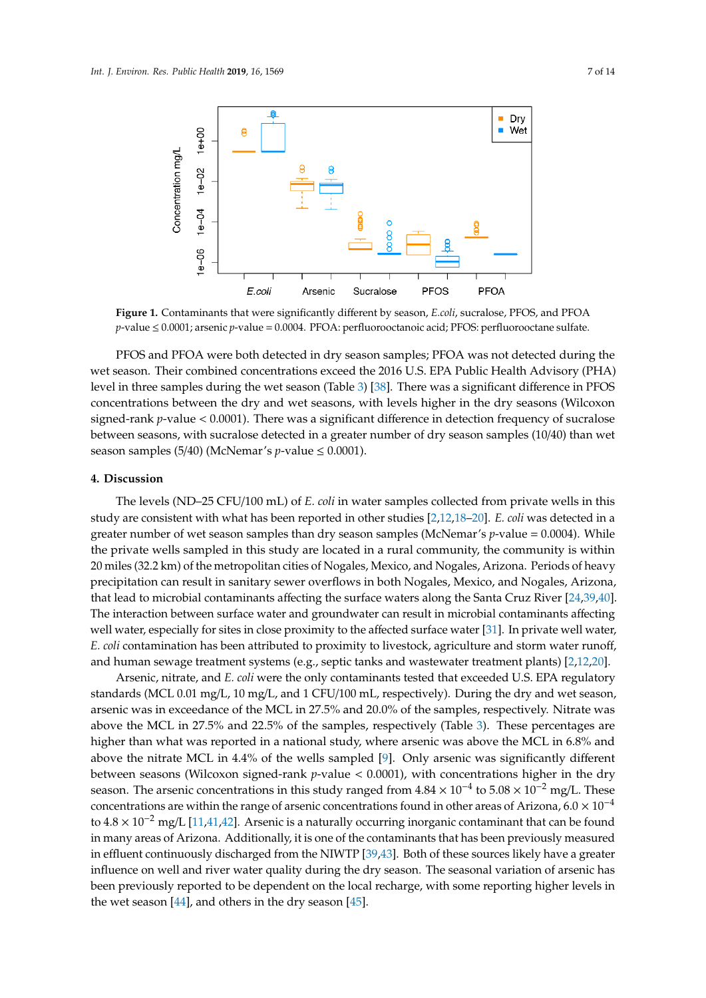<span id="page-6-0"></span>

 $p$ -value  $\leq 0.0001$ ; arsenic  $p$ -value = 0.0004. PFOA: perfluorooctanoic acid; PFOS: perfluorooctane sulfate. *p-value = 0.0001; arsenic p-value = 0.0004. PFO*A: perfluorooctanoic acid; PFOA: perfluorooctanoic acid; PFOS: perfluorooctanoic acid; PFOA: perfluorooctanoic acid; PFOS: perfluorooctanoic acid; PFOS: perfluorooctaneis a **Figure 1.** Contaminants that were significantly different by season, *E.coli*, sucralose, PFOS, and PFOA

PFOS and PFOA were both detected in dry season samples; PFOA was not detected during the level in three samples during the wet season (Table [3\)](#page-5-0) [\[38\]](#page-11-14). There was a significant difference in PFOS concentrations between the dry and wet seasons, with levels higher in the dry seasons (Wilcoxon signed-rank *p*-value < 0.0001). There was a significant difference in detection frequency of sucralose between seasons, with sucralose detected in a greater number of dry season samples (10/40) than wet season samples (5/40) (McNemar's *p*-value  $\leq$  0.0001). between seasons, with sucralose detected in a greater number of dry season samples (10/40) than wet wet season. Their combined concentrations exceed the 2016 U.S. EPA Public Health Advisory (PHA)

## season samples (5/40) (McNemar's *p*-value ≤ 0.0001). **4. Discussion**

The levels (ND–25 CFU/100 mL) of *E. coli* in water samples collected from private wells in this The levels of this greater number of wet season samples than dry season samples (McNemar's *p*-value = 0.0004). While **CFU/100ml or**   $\mathbb{R}^2$ **Frequency**   $\mathbf{r}$   $\mathbf{r}$ the private wells sampled in this study are located in a rural community, the community is within *E. coli* 1,\*\*\* j 1 20 miles (32.2 km) of the metropolitan cities of Nogales, Mexico, and Nogales, Arizona. Periods of heavy precipitation can result in sanitary sewer overflows in both Nogales, Mexico, and Nogales, Arizona, that lead to microbial contaminants affecting the surface waters along the Santa Cruz River [\[24](#page-11-1)[,39](#page-11-15)[,40\]](#page-11-16). be interaction between curricce water and groundwater can recult in microbial contamin The interaction between surface water and groundwater can result in microbial contaminants affecting<br>■ Wet 40/40 (100) 4.24 × 10−4 8.39 × 10−3 6.78 × 10−3 4.53 × 10−<sup>2</sup> 20.0 well water, especially for sites in close proximity to the affected surface water [\[31\]](#page-11-7). In private well water, E. *coli* contamination has been attributed to proximity to livestock, agriculture and storm water runoff, and human sewage treatment systems (e.g., septic tanks and wastewater treatment plants) [\[2](#page-10-1)[,12](#page-10-10)[,20\]](#page-10-7). study are consistent with what has been reported in other studies [\[2,](#page-10-1)[12](#page-10-10)[,18](#page-10-11)[–20\]](#page-10-7). *E. coli* was detected in a

Arsenic, nitrate, and *E. coli* were the only contaminants tested that exceeded U.S. EPA regulatory The character of the character of the character of the control of the character of the character of the character of the character of the character of the character of the character of the character of the character of the standards (MCL 0.01 mg/L, 10 mg/L, and 1 CFU/100 mL, respectively). During the dry and wet season, arsenic was in exceedance of the MCL in 27.5% and 20.0% of the samples, respectively. Nitrate was above the MCL in 27.5% and 22.5% of the samples, respectively (Table [3\)](#page-5-0). These percentages are higher than what was reported in a national study, where arsenic was above the MCL in 6.8% and  $W_{\text{eff}}$  and  $W_{\text{eff}}$  and  $W_{\text{eff}}$  and  $W_{\text{eff}}$  and  $W_{\text{eff}}$  and  $W_{\text{eff}}$  and  $W_{\text{eff}}$  and  $W_{\text{eff}}$  and  $W_{\text{eff}}$ pove above the nitrate MCL in 4.4% of the wells sampled [\[9\]](#page-10-9). Only arsenic was significantly different between seasons (Wilcoxon signed-rank *p*-value < 0.0001), with concentrations higher in the dry season. The arsenic concentrations in this study ranged from  $4.84 \times 10^{-4}$  to  $5.08 \times 10^{-2}$  mg/L. These concentrations are within the range of arsenic concentrations found in other areas of Arizona,  $6.0 \times 10^{-4}$  $\alpha$ to  $4.8 \times 10^{-2}$  mg/L [\[11,](#page-10-12)[41,](#page-11-17)[42\]](#page-12-0). Arsenic is a naturally occurring inorganic contaminant that can be found in many areas of Arizona. Additionally, it is one of the contaminants that has been previously measured in effluent continuously discharged from the NIWTP [\[39,](#page-11-15)[43\]](#page-12-1). Both of these sources likely have a greater influence on well and river water quality during the dry season. The seasonal variation of arsenic has been previously reported to be dependent on the local recharge, with some reporting higher levels in the wet season [\[44\]](#page-12-2), and others in the dry season [\[45\]](#page-12-3).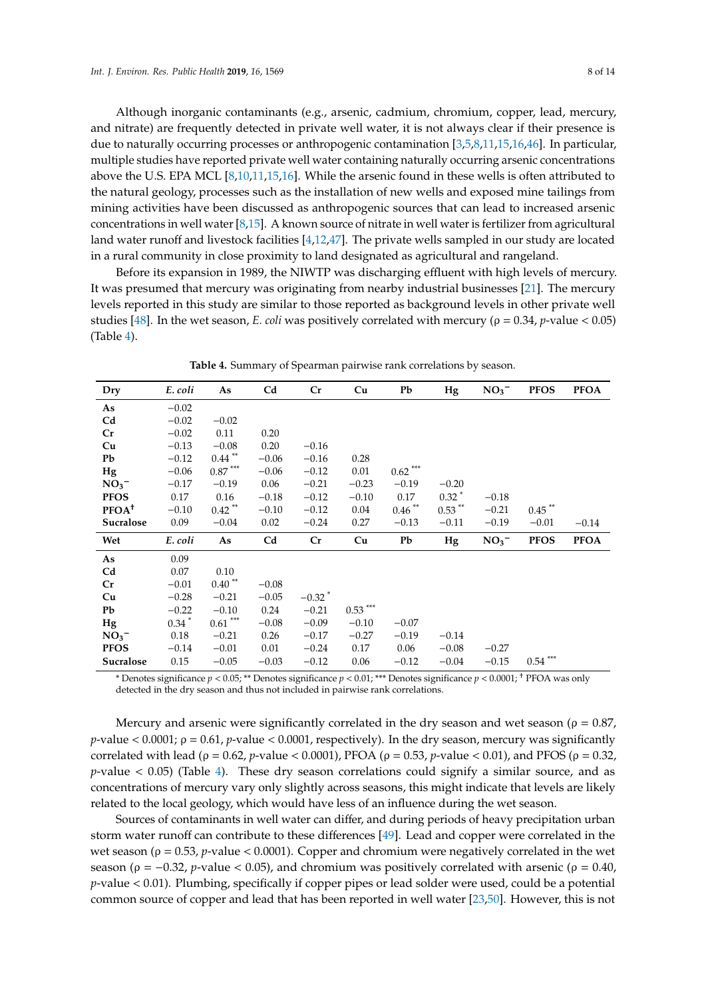Although inorganic contaminants (e.g., arsenic, cadmium, chromium, copper, lead, mercury, and nitrate) are frequently detected in private well water, it is not always clear if their presence is due to naturally occurring processes or anthropogenic contamination [\[3](#page-10-5)[,5,](#page-10-3)[8,](#page-10-6)[11,](#page-10-12)[15,](#page-10-13)[16](#page-10-14)[,46\]](#page-12-4). In particular, multiple studies have reported private well water containing naturally occurring arsenic concentrations above the U.S. EPA MCL [\[8](#page-10-6)[,10](#page-10-15)[,11](#page-10-12)[,15,](#page-10-13)[16\]](#page-10-14). While the arsenic found in these wells is often attributed to the natural geology, processes such as the installation of new wells and exposed mine tailings from mining activities have been discussed as anthropogenic sources that can lead to increased arsenic concentrations in well water [\[8](#page-10-6)[,15\]](#page-10-13). A known source of nitrate in well water is fertilizer from agricultural land water runoff and livestock facilities [\[4](#page-10-2)[,12](#page-10-10)[,47\]](#page-12-5). The private wells sampled in our study are located in a rural community in close proximity to land designated as agricultural and rangeland.

Before its expansion in 1989, the NIWTP was discharging effluent with high levels of mercury. It was presumed that mercury was originating from nearby industrial businesses [\[21\]](#page-11-0). The mercury levels reported in this study are similar to those reported as background levels in other private well studies [\[48\]](#page-12-6). In the wet season, *E. coli* was positively correlated with mercury ( $\rho = 0.34$ , *p*-value < 0.05) (Table [4\)](#page-7-0).

<span id="page-7-0"></span>

| Dry              | E. coli             | As                             | C <sub>d</sub> | Cr                   | Cu         | Pb         | Hg                  | NO <sub>3</sub> | <b>PFOS</b>                            | <b>PFOA</b> |
|------------------|---------------------|--------------------------------|----------------|----------------------|------------|------------|---------------------|-----------------|----------------------------------------|-------------|
| As               | $-0.02$             |                                |                |                      |            |            |                     |                 |                                        |             |
| C <sub>d</sub>   | $-0.02$             | $-0.02$                        |                |                      |            |            |                     |                 |                                        |             |
| Cr               | $-0.02$             | 0.11                           | 0.20           |                      |            |            |                     |                 |                                        |             |
| Cu               | $-0.13$             | $-0.08$                        | 0.20           | $-0.16$              |            |            |                     |                 |                                        |             |
| Pb               | $-0.12$             | $0.44$ **                      | $-0.06$        | $-0.16$              | 0.28       |            |                     |                 |                                        |             |
| Hg               | $-0.06$             | $0.87$ $\hspace{-1.5mm}^{***}$ | $-0.06$        | $-0.12$              | 0.01       | $0.62$ *** |                     |                 |                                        |             |
| NO <sub>3</sub>  | $-0.17$             | $-0.19$                        | 0.06           | $-0.21$              | $-0.23$    | $-0.19$    | $-0.20$             |                 |                                        |             |
| <b>PFOS</b>      | 0.17                | 0.16                           | $-0.18$        | $-0.12$              | $-0.10$    | 0.17       | $0.32$ <sup>*</sup> | $-0.18$         |                                        |             |
| $PPOA+$          | $-0.10$             | $0.42$ **                      | $-0.10$        | $-0.12$              | 0.04       | $0.46$ **  | $0.53$ **           | $-0.21$         | $0.45$ **                              |             |
| <b>Sucralose</b> | 0.09                | $-0.04$                        | 0.02           | $-0.24$              | 0.27       | $-0.13$    | $-0.11$             | $-0.19$         | $-0.01$                                | $-0.14$     |
| Wet              | E. coli             | As                             | C <sub>d</sub> | Cr                   | Cu         | Pb         | Hg                  | NO <sub>3</sub> | <b>PFOS</b>                            | <b>PFOA</b> |
| As               | 0.09                |                                |                |                      |            |            |                     |                 |                                        |             |
| C <sub>d</sub>   | 0.07                | 0.10                           |                |                      |            |            |                     |                 |                                        |             |
| Cr               | $-0.01$             | $0.40$ <sup>**</sup>           | $-0.08$        |                      |            |            |                     |                 |                                        |             |
| Cu               | $-0.28$             | $-0.21$                        | $-0.05$        | $-0.32$ <sup>*</sup> |            |            |                     |                 |                                        |             |
| Pb               | $-0.22$             | $-0.10$                        | 0.24           | $-0.21$              | $0.53$ *** |            |                     |                 |                                        |             |
| Hg               | $0.34$ <sup>*</sup> | $0.61***$                      | $-0.08$        | $-0.09$              | $-0.10$    | $-0.07$    |                     |                 |                                        |             |
| NO <sub>3</sub>  | 0.18                | $-0.21$                        | 0.26           | $-0.17$              | $-0.27$    | $-0.19$    | $-0.14$             |                 |                                        |             |
| <b>PFOS</b>      | $-0.14$             | $-0.01$                        | 0.01           | $-0.24$              | 0.17       | 0.06       | $-0.08$             | $-0.27$         |                                        |             |
| <b>Sucralose</b> | 0.15                | $-0.05$                        | $-0.03$        | $-0.12$              | 0.06       | $-0.12$    | $-0.04$             | $-0.15$         | $0.54$ $\hspace{0.1cm}^{\ast\ast\ast}$ |             |

**Table 4.** Summary of Spearman pairwise rank correlations by season.

\* Denotes significance *p* < 0.05; \*\* Denotes significance *p* < 0.01; \*\*\* Denotes significance *p* < 0.0001; † PFOA was only detected in the dry season and thus not included in pairwise rank correlations.

Mercury and arsenic were significantly correlated in the dry season and wet season ( $\rho = 0.87$ , *p*-value  $\lt$  0.0001;  $\rho$  = 0.61, *p*-value  $\lt$  0.0001, respectively). In the dry season, mercury was significantly correlated with lead (ρ = 0.62, *p*-value < 0.0001), PFOA (ρ = 0.53, *p*-value < 0.01), and PFOS (ρ = 0.32,  $p$ -value  $< 0.05$ ) (Table [4\)](#page-7-0). These dry season correlations could signify a similar source, and as concentrations of mercury vary only slightly across seasons, this might indicate that levels are likely related to the local geology, which would have less of an influence during the wet season.

Sources of contaminants in well water can differ, and during periods of heavy precipitation urban storm water runoff can contribute to these differences [\[49\]](#page-12-7). Lead and copper were correlated in the wet season ( $\rho = 0.53$ , *p*-value < 0.0001). Copper and chromium were negatively correlated in the wet season ( $\rho = -0.32$ , *p*-value < 0.05), and chromium was positively correlated with arsenic ( $\rho = 0.40$ , *p*-value < 0.01). Plumbing, specifically if copper pipes or lead solder were used, could be a potential common source of copper and lead that has been reported in well water [\[23,](#page-11-18)[50\]](#page-12-8). However, this is not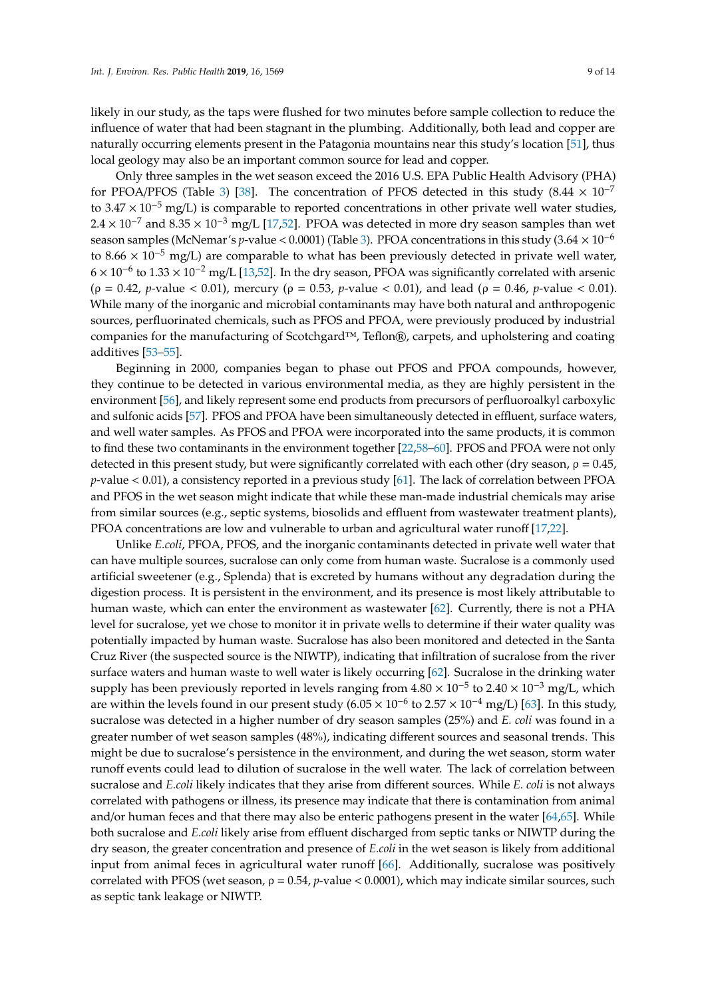likely in our study, as the taps were flushed for two minutes before sample collection to reduce the influence of water that had been stagnant in the plumbing. Additionally, both lead and copper are naturally occurring elements present in the Patagonia mountains near this study's location [\[51\]](#page-12-9), thus local geology may also be an important common source for lead and copper.

Only three samples in the wet season exceed the 2016 U.S. EPA Public Health Advisory (PHA) for PFOA/PFOS (Table [3\)](#page-5-0) [\[38\]](#page-11-14). The concentration of PFOS detected in this study (8.44  $\times$  10<sup>-7</sup> to  $3.47 \times 10^{-5}$  mg/L) is comparable to reported concentrations in other private well water studies, 2.4 × 10<sup>-7</sup> and 8.35 × 10<sup>-3</sup> mg/L [\[17,](#page-10-8)[52\]](#page-12-10). PFOA was detected in more dry season samples than wet season samples (McNemar's *p*-value < 0.0001) (Table [3\)](#page-5-0). PFOA concentrations in this study (3.64 × 10<sup>-6</sup> to 8.66  $\times$  10<sup>-5</sup> mg/L) are comparable to what has been previously detected in private well water,  $6 \times 10^{-6}$  to  $1.33 \times 10^{-2}$  mg/L [\[13](#page-10-16)[,52\]](#page-12-10). In the dry season, PFOA was significantly correlated with arsenic (ρ = 0.42, *p*-value < 0.01), mercury (ρ = 0.53, *p*-value < 0.01), and lead (ρ = 0.46, *p*-value < 0.01). While many of the inorganic and microbial contaminants may have both natural and anthropogenic sources, perfluorinated chemicals, such as PFOS and PFOA, were previously produced by industrial companies for the manufacturing of Scotchgard™, Teflon®, carpets, and upholstering and coating additives [\[53](#page-12-11)[–55\]](#page-12-12).

Beginning in 2000, companies began to phase out PFOS and PFOA compounds, however, they continue to be detected in various environmental media, as they are highly persistent in the environment [\[56\]](#page-12-13), and likely represent some end products from precursors of perfluoroalkyl carboxylic and sulfonic acids [\[57\]](#page-12-14). PFOS and PFOA have been simultaneously detected in effluent, surface waters, and well water samples. As PFOS and PFOA were incorporated into the same products, it is common to find these two contaminants in the environment together [\[22,](#page-11-19)[58](#page-12-15)[–60\]](#page-12-16). PFOS and PFOA were not only detected in this present study, but were significantly correlated with each other (dry season,  $\rho = 0.45$ , *p*-value < 0.01), a consistency reported in a previous study [\[61\]](#page-12-17). The lack of correlation between PFOA and PFOS in the wet season might indicate that while these man-made industrial chemicals may arise from similar sources (e.g., septic systems, biosolids and effluent from wastewater treatment plants), PFOA concentrations are low and vulnerable to urban and agricultural water runoff [\[17](#page-10-8)[,22\]](#page-11-19).

Unlike *E.coli*, PFOA, PFOS, and the inorganic contaminants detected in private well water that can have multiple sources, sucralose can only come from human waste. Sucralose is a commonly used artificial sweetener (e.g., Splenda) that is excreted by humans without any degradation during the digestion process. It is persistent in the environment, and its presence is most likely attributable to human waste, which can enter the environment as wastewater [\[62\]](#page-13-0). Currently, there is not a PHA level for sucralose, yet we chose to monitor it in private wells to determine if their water quality was potentially impacted by human waste. Sucralose has also been monitored and detected in the Santa Cruz River (the suspected source is the NIWTP), indicating that infiltration of sucralose from the river surface waters and human waste to well water is likely occurring [\[62\]](#page-13-0). Sucralose in the drinking water supply has been previously reported in levels ranging from  $4.80 \times 10^{-5}$  to  $2.40 \times 10^{-3}$  mg/L, which are within the levels found in our present study (6.05  $\times$  10<sup>-6</sup> to 2.57  $\times$  10<sup>-4</sup> mg/L) [\[63\]](#page-13-1). In this study, sucralose was detected in a higher number of dry season samples (25%) and *E. coli* was found in a greater number of wet season samples (48%), indicating different sources and seasonal trends. This might be due to sucralose's persistence in the environment, and during the wet season, storm water runoff events could lead to dilution of sucralose in the well water. The lack of correlation between sucralose and *E.coli* likely indicates that they arise from different sources. While *E. coli* is not always correlated with pathogens or illness, its presence may indicate that there is contamination from animal and/or human feces and that there may also be enteric pathogens present in the water [\[64](#page-13-2)[,65\]](#page-13-3). While both sucralose and *E.coli* likely arise from effluent discharged from septic tanks or NIWTP during the dry season, the greater concentration and presence of *E.coli* in the wet season is likely from additional input from animal feces in agricultural water runoff [\[66\]](#page-13-4). Additionally, sucralose was positively correlated with PFOS (wet season, ρ = 0.54, *p*-value < 0.0001), which may indicate similar sources, such as septic tank leakage or NIWTP.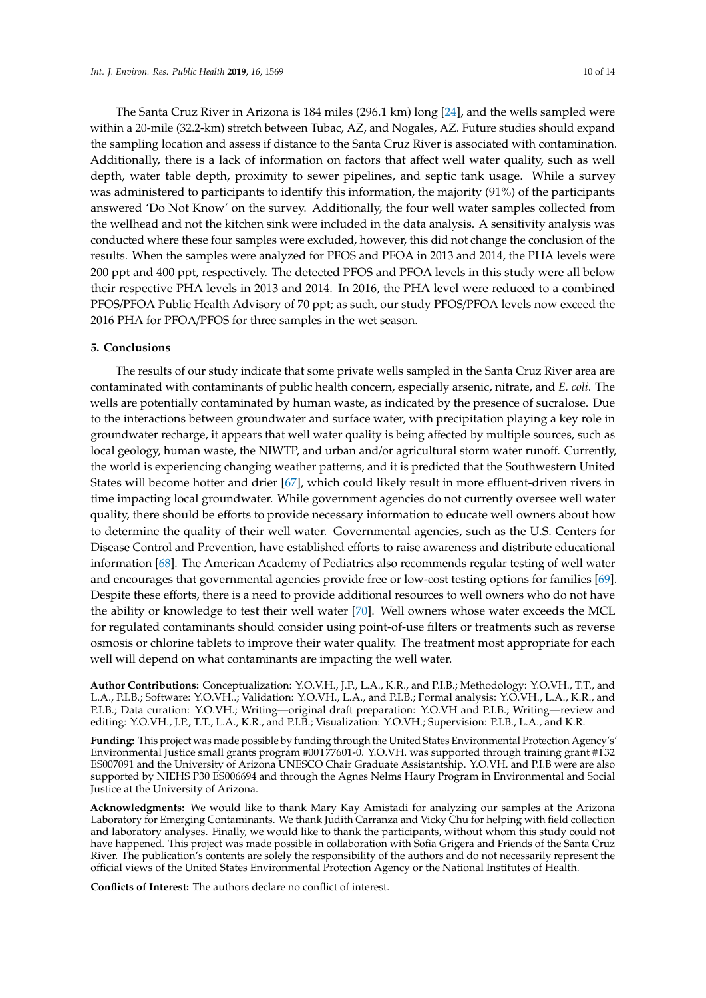The Santa Cruz River in Arizona is 184 miles (296.1 km) long [\[24\]](#page-11-1), and the wells sampled were within a 20-mile (32.2-km) stretch between Tubac, AZ, and Nogales, AZ. Future studies should expand the sampling location and assess if distance to the Santa Cruz River is associated with contamination. Additionally, there is a lack of information on factors that affect well water quality, such as well depth, water table depth, proximity to sewer pipelines, and septic tank usage. While a survey was administered to participants to identify this information, the majority (91%) of the participants answered 'Do Not Know' on the survey. Additionally, the four well water samples collected from the wellhead and not the kitchen sink were included in the data analysis. A sensitivity analysis was conducted where these four samples were excluded, however, this did not change the conclusion of the results. When the samples were analyzed for PFOS and PFOA in 2013 and 2014, the PHA levels were 200 ppt and 400 ppt, respectively. The detected PFOS and PFOA levels in this study were all below their respective PHA levels in 2013 and 2014. In 2016, the PHA level were reduced to a combined PFOS/PFOA Public Health Advisory of 70 ppt; as such, our study PFOS/PFOA levels now exceed the 2016 PHA for PFOA/PFOS for three samples in the wet season.

## **5. Conclusions**

The results of our study indicate that some private wells sampled in the Santa Cruz River area are contaminated with contaminants of public health concern, especially arsenic, nitrate, and *E. coli*. The wells are potentially contaminated by human waste, as indicated by the presence of sucralose. Due to the interactions between groundwater and surface water, with precipitation playing a key role in groundwater recharge, it appears that well water quality is being affected by multiple sources, such as local geology, human waste, the NIWTP, and urban and/or agricultural storm water runoff. Currently, the world is experiencing changing weather patterns, and it is predicted that the Southwestern United States will become hotter and drier [\[67\]](#page-13-5), which could likely result in more effluent-driven rivers in time impacting local groundwater. While government agencies do not currently oversee well water quality, there should be efforts to provide necessary information to educate well owners about how to determine the quality of their well water. Governmental agencies, such as the U.S. Centers for Disease Control and Prevention, have established efforts to raise awareness and distribute educational information [\[68\]](#page-13-6). The American Academy of Pediatrics also recommends regular testing of well water and encourages that governmental agencies provide free or low-cost testing options for families [\[69\]](#page-13-7). Despite these efforts, there is a need to provide additional resources to well owners who do not have the ability or knowledge to test their well water [\[70\]](#page-13-8). Well owners whose water exceeds the MCL for regulated contaminants should consider using point-of-use filters or treatments such as reverse osmosis or chlorine tablets to improve their water quality. The treatment most appropriate for each well will depend on what contaminants are impacting the well water.

**Author Contributions:** Conceptualization: Y.O.V.H., J.P., L.A., K.R., and P.I.B.; Methodology: Y.O.VH., T.T., and L.A., P.I.B.; Software: Y.O.VH..; Validation: Y.O.VH., L.A., and P.I.B.; Formal analysis: Y.O.VH., L.A., K.R., and P.I.B.; Data curation: Y.O.VH.; Writing—original draft preparation: Y.O.VH and P.I.B.; Writing—review and editing: Y.O.VH., J.P., T.T., L.A., K.R., and P.I.B.; Visualization: Y.O.VH.; Supervision: P.I.B., L.A., and K.R.

**Funding:** This project was made possible by funding through the United States Environmental Protection Agency's' Environmental Justice small grants program #00T77601-0. Y.O.VH. was supported through training grant #T32 ES007091 and the University of Arizona UNESCO Chair Graduate Assistantship. Y.O.VH. and P.I.B were are also supported by NIEHS P30 ES006694 and through the Agnes Nelms Haury Program in Environmental and Social Justice at the University of Arizona.

**Acknowledgments:** We would like to thank Mary Kay Amistadi for analyzing our samples at the Arizona Laboratory for Emerging Contaminants. We thank Judith Carranza and Vicky Chu for helping with field collection and laboratory analyses. Finally, we would like to thank the participants, without whom this study could not have happened. This project was made possible in collaboration with Sofia Grigera and Friends of the Santa Cruz River. The publication's contents are solely the responsibility of the authors and do not necessarily represent the official views of the United States Environmental Protection Agency or the National Institutes of Health.

**Conflicts of Interest:** The authors declare no conflict of interest.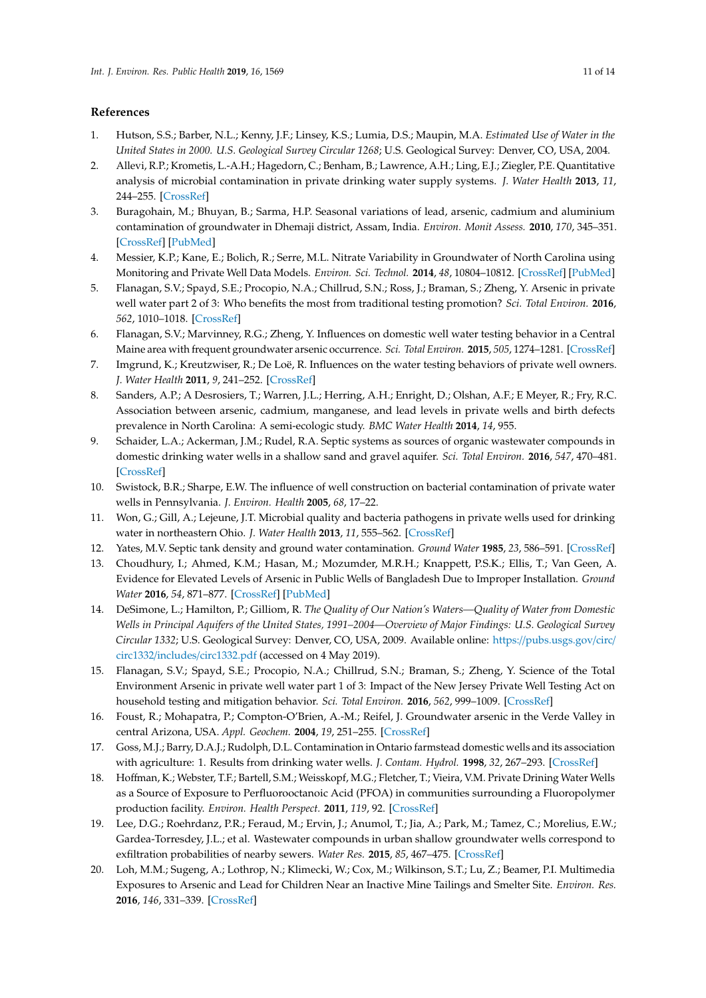## **References**

- <span id="page-10-0"></span>1. Hutson, S.S.; Barber, N.L.; Kenny, J.F.; Linsey, K.S.; Lumia, D.S.; Maupin, M.A. *Estimated Use of Water in the United States in 2000. U.S. Geological Survey Circular 1268*; U.S. Geological Survey: Denver, CO, USA, 2004.
- <span id="page-10-1"></span>2. Allevi, R.P.; Krometis, L.-A.H.; Hagedorn, C.; Benham, B.; Lawrence, A.H.; Ling, E.J.; Ziegler, P.E. Quantitative analysis of microbial contamination in private drinking water supply systems. *J. Water Health* **2013**, *11*, 244–255. [\[CrossRef\]](http://dx.doi.org/10.2166/wh.2013.152)
- <span id="page-10-5"></span>3. Buragohain, M.; Bhuyan, B.; Sarma, H.P. Seasonal variations of lead, arsenic, cadmium and aluminium contamination of groundwater in Dhemaji district, Assam, India. *Environ. Monit Assess.* **2010**, *170*, 345–351. [\[CrossRef\]](http://dx.doi.org/10.1007/s10661-009-1237-6) [\[PubMed\]](http://www.ncbi.nlm.nih.gov/pubmed/19908151)
- <span id="page-10-2"></span>4. Messier, K.P.; Kane, E.; Bolich, R.; Serre, M.L. Nitrate Variability in Groundwater of North Carolina using Monitoring and Private Well Data Models. *Environ. Sci. Technol.* **2014**, *48*, 10804–10812. [\[CrossRef\]](http://dx.doi.org/10.1021/es502725f) [\[PubMed\]](http://www.ncbi.nlm.nih.gov/pubmed/25148521)
- <span id="page-10-3"></span>5. Flanagan, S.V.; Spayd, S.E.; Procopio, N.A.; Chillrud, S.N.; Ross, J.; Braman, S.; Zheng, Y. Arsenic in private well water part 2 of 3: Who benefits the most from traditional testing promotion? *Sci. Total Environ.* **2016**, *562*, 1010–1018. [\[CrossRef\]](http://dx.doi.org/10.1016/j.scitotenv.2016.03.199)
- 6. Flanagan, S.V.; Marvinney, R.G.; Zheng, Y. Influences on domestic well water testing behavior in a Central Maine area with frequent groundwater arsenic occurrence. *Sci. Total Environ.* **2015**, *505*, 1274–1281. [\[CrossRef\]](http://dx.doi.org/10.1016/j.scitotenv.2014.05.017)
- <span id="page-10-4"></span>7. Imgrund, K.; Kreutzwiser, R.; De Loë, R. Influences on the water testing behaviors of private well owners. *J. Water Health* **2011**, *9*, 241–252. [\[CrossRef\]](http://dx.doi.org/10.2166/wh.2011.139)
- <span id="page-10-6"></span>8. Sanders, A.P.; A Desrosiers, T.; Warren, J.L.; Herring, A.H.; Enright, D.; Olshan, A.F.; E Meyer, R.; Fry, R.C. Association between arsenic, cadmium, manganese, and lead levels in private wells and birth defects prevalence in North Carolina: A semi-ecologic study. *BMC Water Health* **2014**, *14*, 955.
- <span id="page-10-9"></span>9. Schaider, L.A.; Ackerman, J.M.; Rudel, R.A. Septic systems as sources of organic wastewater compounds in domestic drinking water wells in a shallow sand and gravel aquifer. *Sci. Total Environ.* **2016**, *547*, 470–481. [\[CrossRef\]](http://dx.doi.org/10.1016/j.scitotenv.2015.12.081)
- <span id="page-10-15"></span>10. Swistock, B.R.; Sharpe, E.W. The influence of well construction on bacterial contamination of private water wells in Pennsylvania. *J. Environ. Health* **2005**, *68*, 17–22.
- <span id="page-10-12"></span>11. Won, G.; Gill, A.; Lejeune, J.T. Microbial quality and bacteria pathogens in private wells used for drinking water in northeastern Ohio. *J. Water Health* **2013**, *11*, 555–562. [\[CrossRef\]](http://dx.doi.org/10.2166/wh.2013.247)
- <span id="page-10-10"></span>12. Yates, M.V. Septic tank density and ground water contamination. *Ground Water* **1985**, *23*, 586–591. [\[CrossRef\]](http://dx.doi.org/10.1111/j.1745-6584.1985.tb01506.x)
- <span id="page-10-16"></span>13. Choudhury, I.; Ahmed, K.M.; Hasan, M.; Mozumder, M.R.H.; Knappett, P.S.K.; Ellis, T.; Van Geen, A. Evidence for Elevated Levels of Arsenic in Public Wells of Bangladesh Due to Improper Installation. *Ground Water* **2016**, *54*, 871–877. [\[CrossRef\]](http://dx.doi.org/10.1111/gwat.12417) [\[PubMed\]](http://www.ncbi.nlm.nih.gov/pubmed/27015264)
- 14. DeSimone, L.; Hamilton, P.; Gilliom, R. *The Quality of Our Nation's Waters—Quality of Water from Domestic Wells in Principal Aquifers of the United States, 1991–2004—Overview of Major Findings: U.S. Geological Survey Circular 1332*; U.S. Geological Survey: Denver, CO, USA, 2009. Available online: https://[pubs.usgs.gov](https://pubs.usgs.gov/circ/circ1332/includes/circ1332.pdf)/circ/ circ1332/includes/[circ1332.pdf](https://pubs.usgs.gov/circ/circ1332/includes/circ1332.pdf) (accessed on 4 May 2019).
- <span id="page-10-13"></span>15. Flanagan, S.V.; Spayd, S.E.; Procopio, N.A.; Chillrud, S.N.; Braman, S.; Zheng, Y. Science of the Total Environment Arsenic in private well water part 1 of 3: Impact of the New Jersey Private Well Testing Act on household testing and mitigation behavior. *Sci. Total Environ.* **2016**, *562*, 999–1009. [\[CrossRef\]](http://dx.doi.org/10.1016/j.scitotenv.2016.03.196)
- <span id="page-10-14"></span>16. Foust, R.; Mohapatra, P.; Compton-O'Brien, A.-M.; Reifel, J. Groundwater arsenic in the Verde Valley in central Arizona, USA. *Appl. Geochem.* **2004**, *19*, 251–255. [\[CrossRef\]](http://dx.doi.org/10.1016/j.apgeochem.2003.09.011)
- <span id="page-10-8"></span>17. Goss, M.J.; Barry, D.A.J.; Rudolph, D.L. Contamination in Ontario farmstead domestic wells and its association with agriculture: 1. Results from drinking water wells. *J. Contam. Hydrol.* **1998**, *32*, 267–293. [\[CrossRef\]](http://dx.doi.org/10.1016/S0169-7722(98)00054-0)
- <span id="page-10-11"></span>18. Hoffman, K.; Webster, T.F.; Bartell, S.M.; Weisskopf, M.G.; Fletcher, T.; Vieira, V.M. Private Drining Water Wells as a Source of Exposure to Perfluorooctanoic Acid (PFOA) in communities surrounding a Fluoropolymer production facility. *Environ. Health Perspect.* **2011**, *119*, 92. [\[CrossRef\]](http://dx.doi.org/10.1289/ehp.1002503)
- 19. Lee, D.G.; Roehrdanz, P.R.; Feraud, M.; Ervin, J.; Anumol, T.; Jia, A.; Park, M.; Tamez, C.; Morelius, E.W.; Gardea-Torresdey, J.L.; et al. Wastewater compounds in urban shallow groundwater wells correspond to exfiltration probabilities of nearby sewers. *Water Res.* **2015**, *85*, 467–475. [\[CrossRef\]](http://dx.doi.org/10.1016/j.watres.2015.08.048)
- <span id="page-10-7"></span>20. Loh, M.M.; Sugeng, A.; Lothrop, N.; Klimecki, W.; Cox, M.; Wilkinson, S.T.; Lu, Z.; Beamer, P.I. Multimedia Exposures to Arsenic and Lead for Children Near an Inactive Mine Tailings and Smelter Site. *Environ. Res.* **2016**, *146*, 331–339. [\[CrossRef\]](http://dx.doi.org/10.1016/j.envres.2015.12.011)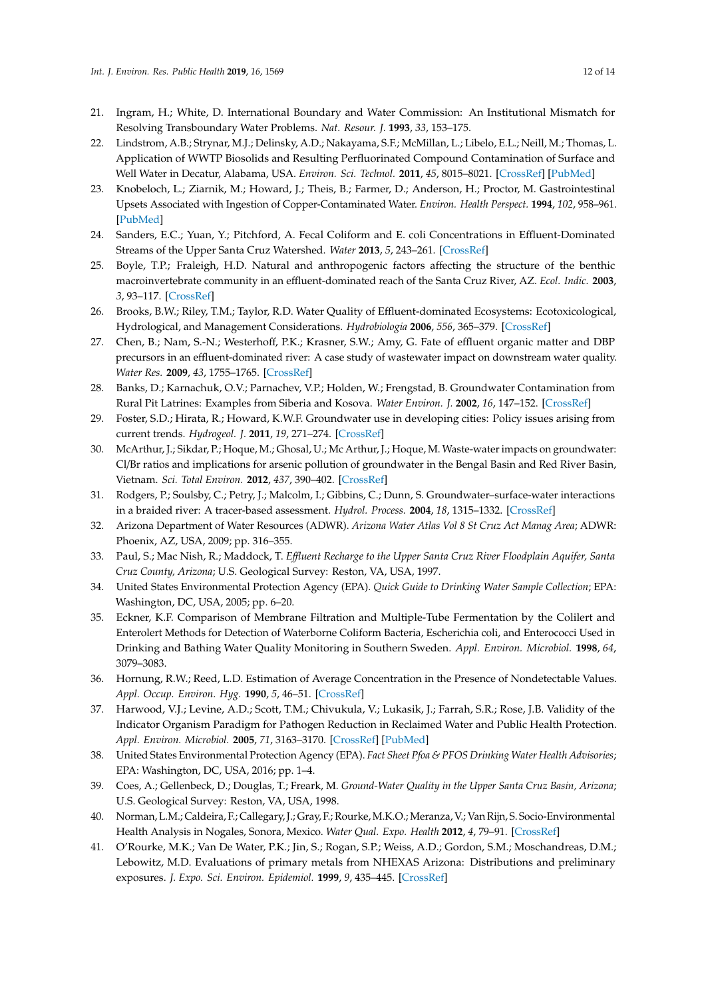- <span id="page-11-0"></span>21. Ingram, H.; White, D. International Boundary and Water Commission: An Institutional Mismatch for Resolving Transboundary Water Problems. *Nat. Resour. J.* **1993**, *33*, 153–175.
- <span id="page-11-19"></span>22. Lindstrom, A.B.; Strynar, M.J.; Delinsky, A.D.; Nakayama, S.F.; McMillan, L.; Libelo, E.L.; Neill, M.; Thomas, L. Application of WWTP Biosolids and Resulting Perfluorinated Compound Contamination of Surface and Well Water in Decatur, Alabama, USA. *Environ. Sci. Technol.* **2011**, *45*, 8015–8021. [\[CrossRef\]](http://dx.doi.org/10.1021/es1039425) [\[PubMed\]](http://www.ncbi.nlm.nih.gov/pubmed/21513287)
- <span id="page-11-18"></span>23. Knobeloch, L.; Ziarnik, M.; Howard, J.; Theis, B.; Farmer, D.; Anderson, H.; Proctor, M. Gastrointestinal Upsets Associated with Ingestion of Copper-Contaminated Water. *Environ. Health Perspect.* **1994**, *102*, 958–961. [\[PubMed\]](http://www.ncbi.nlm.nih.gov/pubmed/9738210)
- <span id="page-11-1"></span>24. Sanders, E.C.; Yuan, Y.; Pitchford, A. Fecal Coliform and E. coli Concentrations in Effluent-Dominated Streams of the Upper Santa Cruz Watershed. *Water* **2013**, *5*, 243–261. [\[CrossRef\]](http://dx.doi.org/10.3390/w5010243)
- <span id="page-11-2"></span>25. Boyle, T.P.; Fraleigh, H.D. Natural and anthropogenic factors affecting the structure of the benthic macroinvertebrate community in an effluent-dominated reach of the Santa Cruz River, AZ. *Ecol. Indic.* **2003**, *3*, 93–117. [\[CrossRef\]](http://dx.doi.org/10.1016/S1470-160X(03)00014-1)
- <span id="page-11-4"></span>26. Brooks, B.W.; Riley, T.M.; Taylor, R.D. Water Quality of Effluent-dominated Ecosystems: Ecotoxicological, Hydrological, and Management Considerations. *Hydrobiologia* **2006**, *556*, 365–379. [\[CrossRef\]](http://dx.doi.org/10.1007/s10750-004-0189-7)
- <span id="page-11-3"></span>27. Chen, B.; Nam, S.-N.; Westerhoff, P.K.; Krasner, S.W.; Amy, G. Fate of effluent organic matter and DBP precursors in an effluent-dominated river: A case study of wastewater impact on downstream water quality. *Water Res.* **2009**, *43*, 1755–1765. [\[CrossRef\]](http://dx.doi.org/10.1016/j.watres.2009.01.020)
- <span id="page-11-5"></span>28. Banks, D.; Karnachuk, O.V.; Parnachev, V.P.; Holden, W.; Frengstad, B. Groundwater Contamination from Rural Pit Latrines: Examples from Siberia and Kosova. *Water Environ. J.* **2002**, *16*, 147–152. [\[CrossRef\]](http://dx.doi.org/10.1111/j.1747-6593.2002.tb00386.x)
- 29. Foster, S.D.; Hirata, R.; Howard, K.W.F. Groundwater use in developing cities: Policy issues arising from current trends. *Hydrogeol. J.* **2011**, *19*, 271–274. [\[CrossRef\]](http://dx.doi.org/10.1007/s10040-010-0681-2)
- <span id="page-11-6"></span>30. McArthur, J.; Sikdar, P.; Hoque, M.; Ghosal, U.; Mc Arthur, J.; Hoque, M. Waste-water impacts on groundwater: Cl/Br ratios and implications for arsenic pollution of groundwater in the Bengal Basin and Red River Basin, Vietnam. *Sci. Total Environ.* **2012**, *437*, 390–402. [\[CrossRef\]](http://dx.doi.org/10.1016/j.scitotenv.2012.07.068)
- <span id="page-11-7"></span>31. Rodgers, P.; Soulsby, C.; Petry, J.; Malcolm, I.; Gibbins, C.; Dunn, S. Groundwater–surface-water interactions in a braided river: A tracer-based assessment. *Hydrol. Process.* **2004**, *18*, 1315–1332. [\[CrossRef\]](http://dx.doi.org/10.1002/hyp.1404)
- <span id="page-11-8"></span>32. Arizona Department of Water Resources (ADWR). *Arizona Water Atlas Vol 8 St Cruz Act Manag Area*; ADWR: Phoenix, AZ, USA, 2009; pp. 316–355.
- <span id="page-11-9"></span>33. Paul, S.; Mac Nish, R.; Maddock, T. *E*ffl*uent Recharge to the Upper Santa Cruz River Floodplain Aquifer, Santa Cruz County, Arizona*; U.S. Geological Survey: Reston, VA, USA, 1997.
- <span id="page-11-10"></span>34. United States Environmental Protection Agency (EPA). *Quick Guide to Drinking Water Sample Collection*; EPA: Washington, DC, USA, 2005; pp. 6–20.
- <span id="page-11-11"></span>35. Eckner, K.F. Comparison of Membrane Filtration and Multiple-Tube Fermentation by the Colilert and Enterolert Methods for Detection of Waterborne Coliform Bacteria, Escherichia coli, and Enterococci Used in Drinking and Bathing Water Quality Monitoring in Southern Sweden. *Appl. Environ. Microbiol.* **1998**, *64*, 3079–3083.
- <span id="page-11-12"></span>36. Hornung, R.W.; Reed, L.D. Estimation of Average Concentration in the Presence of Nondetectable Values. *Appl. Occup. Environ. Hyg.* **1990**, *5*, 46–51. [\[CrossRef\]](http://dx.doi.org/10.1080/1047322X.1990.10389587)
- <span id="page-11-13"></span>37. Harwood, V.J.; Levine, A.D.; Scott, T.M.; Chivukula, V.; Lukasik, J.; Farrah, S.R.; Rose, J.B. Validity of the Indicator Organism Paradigm for Pathogen Reduction in Reclaimed Water and Public Health Protection. *Appl. Environ. Microbiol.* **2005**, *71*, 3163–3170. [\[CrossRef\]](http://dx.doi.org/10.1128/AEM.71.6.3163-3170.2005) [\[PubMed\]](http://www.ncbi.nlm.nih.gov/pubmed/15933017)
- <span id="page-11-14"></span>38. United States Environmental Protection Agency (EPA). *Fact Sheet Pfoa & PFOS Drinking Water Health Advisories*; EPA: Washington, DC, USA, 2016; pp. 1–4.
- <span id="page-11-15"></span>39. Coes, A.; Gellenbeck, D.; Douglas, T.; Freark, M. *Ground-Water Quality in the Upper Santa Cruz Basin, Arizona*; U.S. Geological Survey: Reston, VA, USA, 1998.
- <span id="page-11-16"></span>40. Norman, L.M.; Caldeira, F.; Callegary, J.; Gray, F.; Rourke,M.K.O.; Meranza, V.; Van Rijn, S. Socio-Environmental Health Analysis in Nogales, Sonora, Mexico. *Water Qual. Expo. Health* **2012**, *4*, 79–91. [\[CrossRef\]](http://dx.doi.org/10.1007/s12403-012-0067-x)
- <span id="page-11-17"></span>41. O'Rourke, M.K.; Van De Water, P.K.; Jin, S.; Rogan, S.P.; Weiss, A.D.; Gordon, S.M.; Moschandreas, D.M.; Lebowitz, M.D. Evaluations of primary metals from NHEXAS Arizona: Distributions and preliminary exposures. *J. Expo. Sci. Environ. Epidemiol.* **1999**, *9*, 435–445. [\[CrossRef\]](http://dx.doi.org/10.1038/sj.jea.7500049)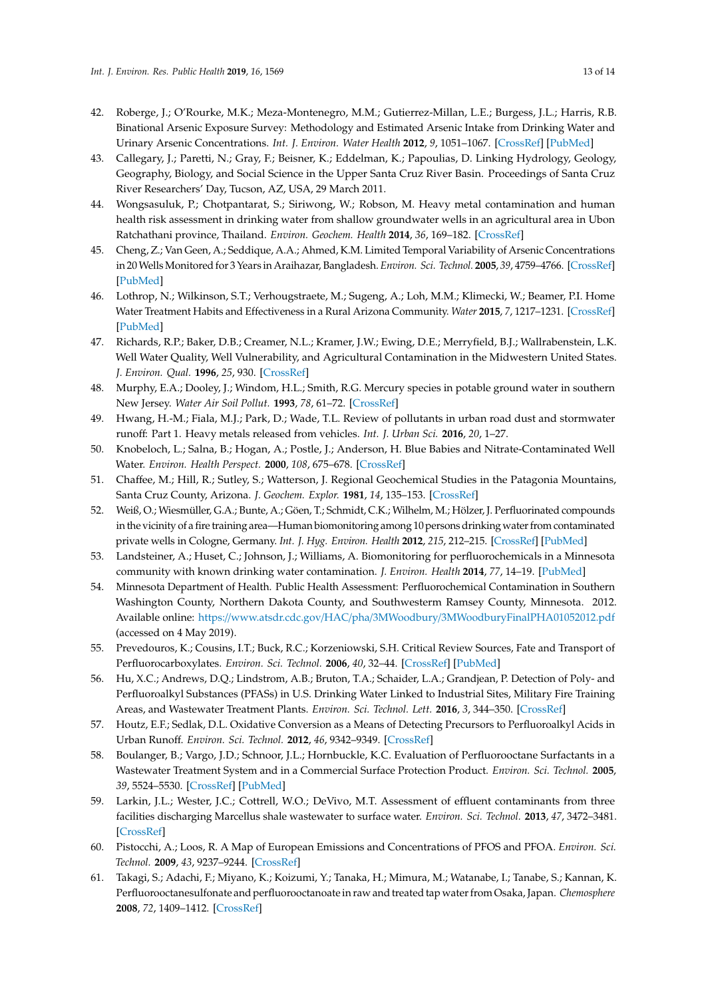- <span id="page-12-0"></span>42. Roberge, J.; O'Rourke, M.K.; Meza-Montenegro, M.M.; Gutierrez-Millan, L.E.; Burgess, J.L.; Harris, R.B. Binational Arsenic Exposure Survey: Methodology and Estimated Arsenic Intake from Drinking Water and Urinary Arsenic Concentrations. *Int. J. Environ. Water Health* **2012**, *9*, 1051–1067. [\[CrossRef\]](http://dx.doi.org/10.3390/ijerph9041051) [\[PubMed\]](http://www.ncbi.nlm.nih.gov/pubmed/22690182)
- <span id="page-12-1"></span>43. Callegary, J.; Paretti, N.; Gray, F.; Beisner, K.; Eddelman, K.; Papoulias, D. Linking Hydrology, Geology, Geography, Biology, and Social Science in the Upper Santa Cruz River Basin. Proceedings of Santa Cruz River Researchers' Day, Tucson, AZ, USA, 29 March 2011.
- <span id="page-12-2"></span>44. Wongsasuluk, P.; Chotpantarat, S.; Siriwong, W.; Robson, M. Heavy metal contamination and human health risk assessment in drinking water from shallow groundwater wells in an agricultural area in Ubon Ratchathani province, Thailand. *Environ. Geochem. Health* **2014**, *36*, 169–182. [\[CrossRef\]](http://dx.doi.org/10.1007/s10653-013-9537-8)
- <span id="page-12-3"></span>45. Cheng, Z.; Van Geen, A.; Seddique, A.A.; Ahmed, K.M. Limited Temporal Variability of Arsenic Concentrations in 20WellsMonitored for 3 Years in Araihazar, Bangladesh. *Environ. Sci. Technol.* **2005**, *39*, 4759–4766. [\[CrossRef\]](http://dx.doi.org/10.1021/es048065f) [\[PubMed\]](http://www.ncbi.nlm.nih.gov/pubmed/16053073)
- <span id="page-12-4"></span>46. Lothrop, N.; Wilkinson, S.T.; Verhougstraete, M.; Sugeng, A.; Loh, M.M.; Klimecki, W.; Beamer, P.I. Home Water Treatment Habits and Effectiveness in a Rural Arizona Community. *Water* **2015**, *7*, 1217–1231. [\[CrossRef\]](http://dx.doi.org/10.3390/w7031217) [\[PubMed\]](http://www.ncbi.nlm.nih.gov/pubmed/26120482)
- <span id="page-12-5"></span>47. Richards, R.P.; Baker, D.B.; Creamer, N.L.; Kramer, J.W.; Ewing, D.E.; Merryfield, B.J.; Wallrabenstein, L.K. Well Water Quality, Well Vulnerability, and Agricultural Contamination in the Midwestern United States. *J. Environ. Qual.* **1996**, *25*, 930. [\[CrossRef\]](http://dx.doi.org/10.2134/jeq1996.00472425002500040049x)
- <span id="page-12-6"></span>48. Murphy, E.A.; Dooley, J.; Windom, H.L.; Smith, R.G. Mercury species in potable ground water in southern New Jersey. *Water Air Soil Pollut.* **1993**, *78*, 61–72. [\[CrossRef\]](http://dx.doi.org/10.1007/BF00475668)
- <span id="page-12-7"></span>49. Hwang, H.-M.; Fiala, M.J.; Park, D.; Wade, T.L. Review of pollutants in urban road dust and stormwater runoff: Part 1. Heavy metals released from vehicles. *Int. J. Urban Sci.* **2016**, *20*, 1–27.
- <span id="page-12-8"></span>50. Knobeloch, L.; Salna, B.; Hogan, A.; Postle, J.; Anderson, H. Blue Babies and Nitrate-Contaminated Well Water. *Environ. Health Perspect.* **2000**, *108*, 675–678. [\[CrossRef\]](http://dx.doi.org/10.1289/ehp.00108675)
- <span id="page-12-9"></span>51. Chaffee, M.; Hill, R.; Sutley, S.; Watterson, J. Regional Geochemical Studies in the Patagonia Mountains, Santa Cruz County, Arizona. *J. Geochem. Explor.* **1981**, *14*, 135–153. [\[CrossRef\]](http://dx.doi.org/10.1016/0375-6742(81)90109-6)
- <span id="page-12-10"></span>52. Weiß, O.; Wiesmüller, G.A.; Bunte, A.; Göen, T.; Schmidt, C.K.; Wilhelm, M.; Hölzer, J. Perfluorinated compounds in the vicinity of a fire training area—Human biomonitoring among 10 persons drinking water from contaminated private wells in Cologne, Germany. *Int. J. Hyg. Environ. Health* **2012**, *215*, 212–215. [\[CrossRef\]](http://dx.doi.org/10.1016/j.ijheh.2011.08.016) [\[PubMed\]](http://www.ncbi.nlm.nih.gov/pubmed/22001330)
- <span id="page-12-11"></span>53. Landsteiner, A.; Huset, C.; Johnson, J.; Williams, A. Biomonitoring for perfluorochemicals in a Minnesota community with known drinking water contamination. *J. Environ. Health* **2014**, *77*, 14–19. [\[PubMed\]](http://www.ncbi.nlm.nih.gov/pubmed/25619022)
- 54. Minnesota Department of Health. Public Health Assessment: Perfluorochemical Contamination in Southern Washington County, Northern Dakota County, and Southwesterm Ramsey County, Minnesota. 2012. Available online: https://www.atsdr.cdc.gov/HAC/pha/3MWoodbury/[3MWoodburyFinalPHA01052012.pdf](https://www.atsdr.cdc.gov/HAC/pha/3MWoodbury/3MWoodburyFinalPHA01052012.pdf) (accessed on 4 May 2019).
- <span id="page-12-12"></span>55. Prevedouros, K.; Cousins, I.T.; Buck, R.C.; Korzeniowski, S.H. Critical Review Sources, Fate and Transport of Perfluorocarboxylates. *Environ. Sci. Technol.* **2006**, *40*, 32–44. [\[CrossRef\]](http://dx.doi.org/10.1021/es0512475) [\[PubMed\]](http://www.ncbi.nlm.nih.gov/pubmed/16433330)
- <span id="page-12-13"></span>56. Hu, X.C.; Andrews, D.Q.; Lindstrom, A.B.; Bruton, T.A.; Schaider, L.A.; Grandjean, P. Detection of Poly- and Perfluoroalkyl Substances (PFASs) in U.S. Drinking Water Linked to Industrial Sites, Military Fire Training Areas, and Wastewater Treatment Plants. *Environ. Sci. Technol. Lett.* **2016**, *3*, 344–350. [\[CrossRef\]](http://dx.doi.org/10.1021/acs.estlett.6b00260)
- <span id="page-12-14"></span>57. Houtz, E.F.; Sedlak, D.L. Oxidative Conversion as a Means of Detecting Precursors to Perfluoroalkyl Acids in Urban Runoff. *Environ. Sci. Technol.* **2012**, *46*, 9342–9349. [\[CrossRef\]](http://dx.doi.org/10.1021/es302274g)
- <span id="page-12-15"></span>58. Boulanger, B.; Vargo, J.D.; Schnoor, J.L.; Hornbuckle, K.C. Evaluation of Perfluorooctane Surfactants in a Wastewater Treatment System and in a Commercial Surface Protection Product. *Environ. Sci. Technol.* **2005**, *39*, 5524–5530. [\[CrossRef\]](http://dx.doi.org/10.1021/es050213u) [\[PubMed\]](http://www.ncbi.nlm.nih.gov/pubmed/16124283)
- 59. Larkin, J.L.; Wester, J.C.; Cottrell, W.O.; DeVivo, M.T. Assessment of effluent contaminants from three facilities discharging Marcellus shale wastewater to surface water. *Environ. Sci. Technol.* **2013**, *47*, 3472–3481. [\[CrossRef\]](http://dx.doi.org/10.1021/es301411q)
- <span id="page-12-16"></span>60. Pistocchi, A.; Loos, R. A Map of European Emissions and Concentrations of PFOS and PFOA. *Environ. Sci. Technol.* **2009**, *43*, 9237–9244. [\[CrossRef\]](http://dx.doi.org/10.1021/es901246d)
- <span id="page-12-17"></span>61. Takagi, S.; Adachi, F.; Miyano, K.; Koizumi, Y.; Tanaka, H.; Mimura, M.; Watanabe, I.; Tanabe, S.; Kannan, K. Perfluorooctanesulfonate and perfluorooctanoate in raw and treated tap water from Osaka, Japan. *Chemosphere* **2008**, *72*, 1409–1412. [\[CrossRef\]](http://dx.doi.org/10.1016/j.chemosphere.2008.05.034)